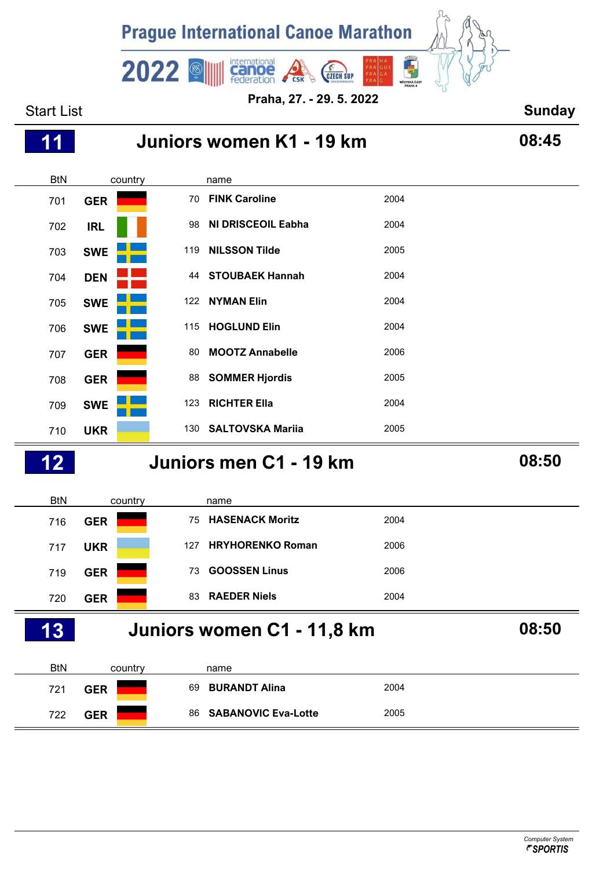

| 1<br>1     |            |                             | Juniors women K1 - 19 km   |      | 08:45 |
|------------|------------|-----------------------------|----------------------------|------|-------|
| <b>BtN</b> | country    | name                        |                            |      |       |
| 701        | <b>GER</b> | <b>FINK Caroline</b><br>70  |                            | 2004 |       |
| 702        | <b>IRL</b> | 98                          | <b>NI DRISCEOIL Eabha</b>  | 2004 |       |
| 703        | <b>SWE</b> | <b>NILSSON Tilde</b><br>119 |                            | 2005 |       |
| 704        | <b>DEN</b> | 44                          | <b>STOUBAEK Hannah</b>     | 2004 |       |
| 705        | <b>SWE</b> | <b>NYMAN Elin</b><br>122    |                            | 2004 |       |
| 706        | <b>SWE</b> | <b>HOGLUND Elin</b><br>115  |                            | 2004 |       |
| 707        | <b>GER</b> | 80                          | <b>MOOTZ Annabelle</b>     | 2006 |       |
| 708        | <b>GER</b> | 88                          | <b>SOMMER Hjordis</b>      | 2005 |       |
| 709        | <b>SWE</b> | <b>RICHTER Ella</b><br>123  |                            | 2004 |       |
| 710        | <b>UKR</b> | 130                         | <b>SALTOVSKA Mariia</b>    | 2005 |       |
| 12         |            |                             | Juniors men C1 - 19 km     |      | 08:50 |
| <b>BtN</b> | country    | name                        |                            |      |       |
| 716        | <b>GER</b> | 75                          | <b>HASENACK Moritz</b>     | 2004 |       |
| 717        | <b>UKR</b> | 127                         | <b>HRYHORENKO Roman</b>    | 2006 |       |
| 719        | <b>GER</b> | 73                          | <b>GOOSSEN Linus</b>       | 2006 |       |
| 720        | <b>GER</b> | <b>RAEDER Niels</b><br>83   |                            | 2004 |       |
| 13         |            |                             | Juniors women C1 - 11,8 km |      | 08:50 |
| <b>BtN</b> | country    | name                        |                            |      |       |
| 721        | <b>GER</b> | 69                          | <b>BURANDT Alina</b>       | 2004 |       |
| 722        | <b>GER</b> | 86                          | <b>SABANOVIC Eva-Lotte</b> | 2005 |       |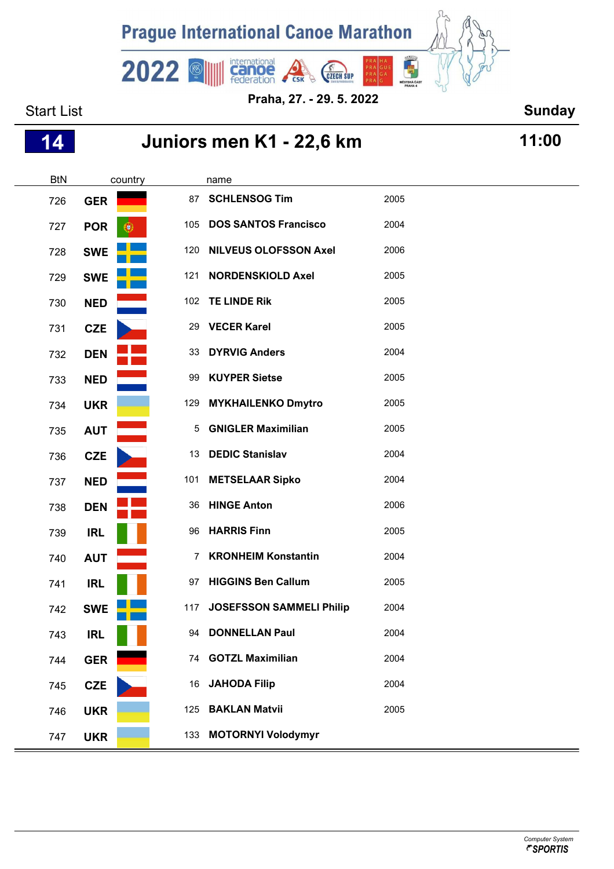

Start List **Sunday Praha, 27. - 29. 5. 2022**

| 14         | Juniors men K1 - 22,6 km | 11:00 |                                 |      |  |
|------------|--------------------------|-------|---------------------------------|------|--|
| <b>BtN</b> | country                  |       | name                            |      |  |
| 726        | <b>GER</b>               | 87    | <b>SCHLENSOG Tim</b>            | 2005 |  |
| 727        | <b>POR</b>               |       | 105 DOS SANTOS Francisco        | 2004 |  |
| 728        | <b>SWE</b>               | 120   | <b>NILVEUS OLOFSSON Axel</b>    | 2006 |  |
| 729        | <b>SWE</b>               | 121   | <b>NORDENSKIOLD Axel</b>        | 2005 |  |
| 730        | <b>NED</b>               |       | 102 TE LINDE Rik                | 2005 |  |
| 731        | <b>CZE</b>               | 29    | <b>VECER Karel</b>              | 2005 |  |
| 732        | <b>DEN</b>               | 33    | <b>DYRVIG Anders</b>            | 2004 |  |
| 733        | <b>NED</b>               | 99    | <b>KUYPER Sietse</b>            | 2005 |  |
| 734        | <b>UKR</b>               | 129   | <b>MYKHAILENKO Dmytro</b>       | 2005 |  |
| 735        | <b>AUT</b>               | 5     | <b>GNIGLER Maximilian</b>       | 2005 |  |
| 736        | CZE                      | 13    | <b>DEDIC Stanislav</b>          | 2004 |  |
| 737        | <b>NED</b>               | 101   | <b>METSELAAR Sipko</b>          | 2004 |  |
| 738        | <b>DEN</b>               | 36    | <b>HINGE Anton</b>              | 2006 |  |
| 739        | <b>IRL</b>               | 96    | <b>HARRIS Finn</b>              | 2005 |  |
| 740        | <b>AUT</b>               | 7     | <b>KRONHEIM Konstantin</b>      | 2004 |  |
| 741        | <b>IRL</b>               |       | 97 HIGGINS Ben Callum           | 2005 |  |
| 742        | <b>SWE</b>               | 117   | <b>JOSEFSSON SAMMELI Philip</b> | 2004 |  |
| 743        | <b>IRL</b>               | 94    | <b>DONNELLAN Paul</b>           | 2004 |  |
| 744        | <b>GER</b>               | 74    | <b>GOTZL Maximilian</b>         | 2004 |  |
| 745        | <b>CZE</b>               | 16    | <b>JAHODA Filip</b>             | 2004 |  |
| 746        | <b>UKR</b>               | 125   | <b>BAKLAN Matvii</b>            | 2005 |  |
| 747        | <b>UKR</b>               |       | 133 MOTORNYI Volodymyr          |      |  |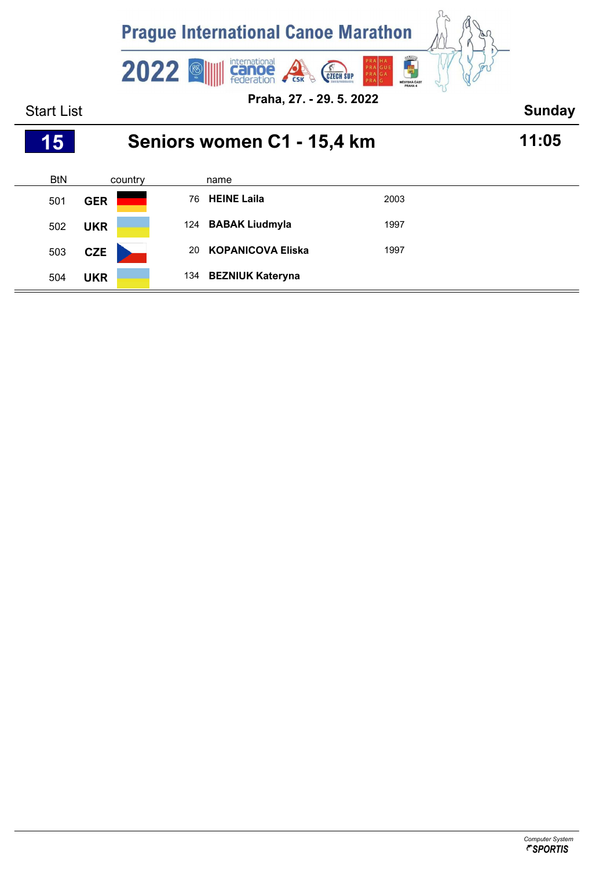

| 457        | Seniors women C1 - 15,4 km |     |                          |      |  |  |  |
|------------|----------------------------|-----|--------------------------|------|--|--|--|
| <b>BtN</b> | country                    |     | name                     |      |  |  |  |
| 501        | <b>GER</b>                 | 76  | <b>HEINE Laila</b>       | 2003 |  |  |  |
| 502        | <b>UKR</b>                 |     | 124 BABAK Liudmyla       | 1997 |  |  |  |
| 503        | <b>CZE</b>                 | 20  | <b>KOPANICOVA Eliska</b> | 1997 |  |  |  |
| 504        | <b>UKR</b>                 | 134 | <b>BEZNIUK Kateryna</b>  |      |  |  |  |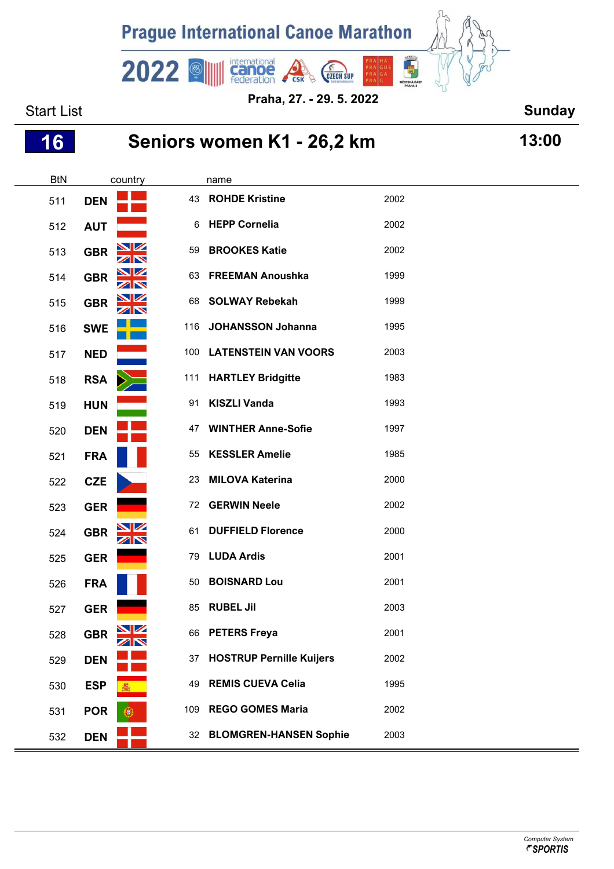

**Praha, 27. - 29. 5. 2022**

Start List **Sunday** 

# **Seniors women K1 - 26,2 km 13:00**

| <b>BtN</b> | country    |                      |     | name                            |      |  |
|------------|------------|----------------------|-----|---------------------------------|------|--|
| 511        | <b>DEN</b> |                      | 43  | <b>ROHDE Kristine</b>           | 2002 |  |
| 512        | <b>AUT</b> |                      | 6   | <b>HEPP Cornelia</b>            | 2002 |  |
| 513        | <b>GBR</b> | $\blacksquare$<br>ZN | 59  | <b>BROOKES Katie</b>            | 2002 |  |
| 514        | <b>GBR</b> | VZ<br>ZN             | 63  | <b>FREEMAN Anoushka</b>         | 1999 |  |
| 515        | <b>GBR</b> | VZ<br>ZN             | 68  | <b>SOLWAY Rebekah</b>           | 1999 |  |
| 516        | <b>SWE</b> |                      | 116 | <b>JOHANSSON Johanna</b>        | 1995 |  |
| 517        | <b>NED</b> |                      | 100 | <b>LATENSTEIN VAN VOORS</b>     | 2003 |  |
| 518        | <b>RSA</b> |                      | 111 | <b>HARTLEY Bridgitte</b>        | 1983 |  |
| 519        | <b>HUN</b> |                      | 91  | <b>KISZLI Vanda</b>             | 1993 |  |
| 520        | <b>DEN</b> |                      | 47  | <b>WINTHER Anne-Sofie</b>       | 1997 |  |
| 521        | <b>FRA</b> |                      | 55  | <b>KESSLER Amelie</b>           | 1985 |  |
| 522        | <b>CZE</b> |                      | 23  | <b>MILOVA Katerina</b>          | 2000 |  |
| 523        | <b>GER</b> |                      | 72  | <b>GERWIN Neele</b>             | 2002 |  |
| 524        | <b>GBR</b> |                      | 61  | <b>DUFFIELD Florence</b>        | 2000 |  |
| 525        | <b>GER</b> |                      | 79  | <b>LUDA Ardis</b>               | 2001 |  |
| 526        | <b>FRA</b> |                      | 50  | <b>BOISNARD Lou</b>             | 2001 |  |
| 527        | <b>GER</b> |                      | 85  | <b>RUBEL Jil</b>                | 2003 |  |
| 528        | <b>GBR</b> | ╱│╲                  | 66  | <b>PETERS Freya</b>             | 2001 |  |
| 529        | <b>DEN</b> |                      | 37  | <b>HOSTRUP Pernille Kuijers</b> | 2002 |  |
| 530        | <b>ESP</b> |                      | 49  | <b>REMIS CUEVA Celia</b>        | 1995 |  |
| 531        | <b>POR</b> |                      | 109 | <b>REGO GOMES Maria</b>         | 2002 |  |
| 532        | <b>DEN</b> |                      | 32  | <b>BLOMGREN-HANSEN Sophie</b>   | 2003 |  |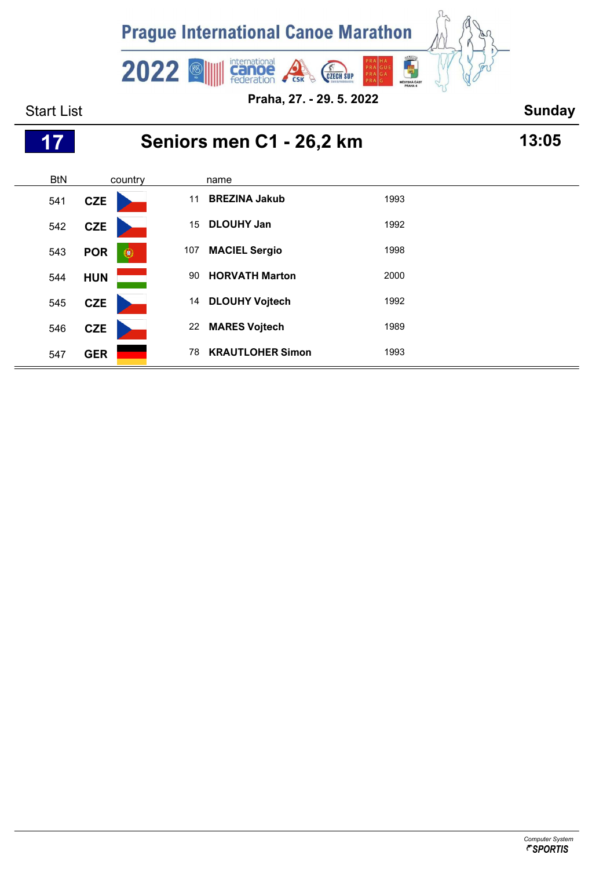

Start List **Sunday** BtN country name **Seniors men C1 - 26,2 km 13:05**

| 541 | <b>CZE</b> |   | 11  | <b>BREZINA Jakub</b>    | 1993 |
|-----|------------|---|-----|-------------------------|------|
| 542 | <b>CZE</b> |   | 15  | <b>DLOUHY Jan</b>       | 1992 |
| 543 | <b>POR</b> | ۲ | 107 | <b>MACIEL Sergio</b>    | 1998 |
| 544 | <b>HUN</b> |   | 90  | <b>HORVATH Marton</b>   | 2000 |
| 545 | <b>CZE</b> |   | 14  | <b>DLOUHY Vojtech</b>   | 1992 |
| 546 | <b>CZE</b> |   | 22  | <b>MARES Vojtech</b>    | 1989 |
| 547 | <b>GER</b> |   | 78  | <b>KRAUTLOHER Simon</b> | 1993 |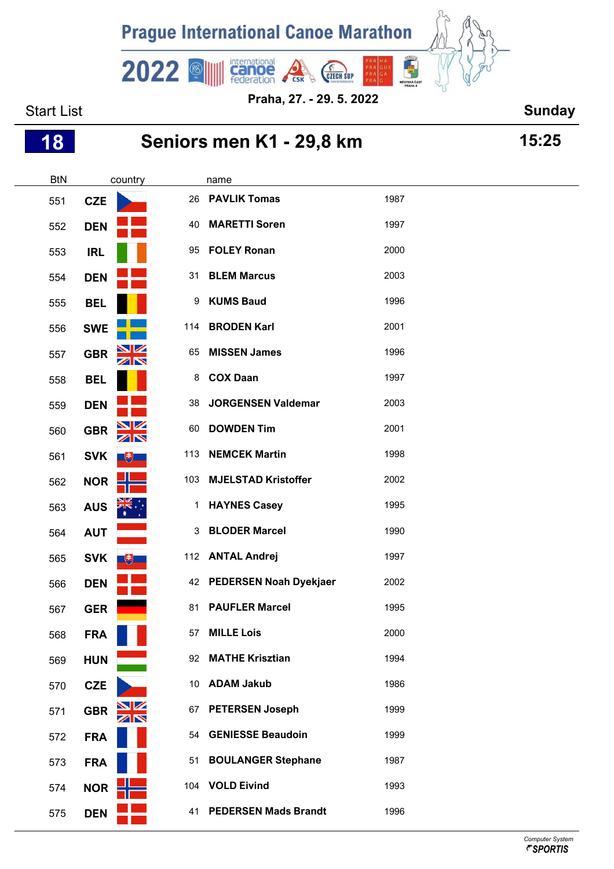

Start List **Sunday Praha, 27. - 29. 5. 2022**

## **Seniors men K1 - 29,8 km 15:25**

| <b>BtN</b> |            | country                 |     | name                       |      |  |
|------------|------------|-------------------------|-----|----------------------------|------|--|
| 551        | <b>CZE</b> |                         | 26  | <b>PAVLIK Tomas</b>        | 1987 |  |
| 552        | <b>DEN</b> |                         | 40  | <b>MARETTI Soren</b>       | 1997 |  |
| 553        | <b>IRL</b> |                         | 95  | <b>FOLEY Ronan</b>         | 2000 |  |
| 554        | <b>DEN</b> |                         |     | 31 BLEM Marcus             | 2003 |  |
| 555        | <b>BEL</b> |                         | 9   | <b>KUMS Baud</b>           | 1996 |  |
| 556        | <b>SWE</b> |                         | 114 | <b>BRODEN Karl</b>         | 2001 |  |
| 557        | <b>GBR</b> | $\frac{\Delta}{\Delta}$ | 65  | <b>MISSEN James</b>        | 1996 |  |
| 558        | <b>BEL</b> |                         | 8   | <b>COX Daan</b>            | 1997 |  |
| 559        | <b>DEN</b> |                         | 38  | <b>JORGENSEN Valdemar</b>  | 2003 |  |
| 560        | <b>GBR</b> | <u>NZ</u><br>ZN         | 60  | <b>DOWDEN Tim</b>          | 2001 |  |
| 561        | <b>SVK</b> | $+$                     | 113 | <b>NEMCEK Martin</b>       | 1998 |  |
| 562        | <b>NOR</b> |                         | 103 | <b>MJELSTAD Kristoffer</b> | 2002 |  |
| 563        | <b>AUS</b> |                         | 1.  | <b>HAYNES Casey</b>        | 1995 |  |
| 564        | <b>AUT</b> |                         | 3   | <b>BLODER Marcel</b>       | 1990 |  |
| 565        | <b>SVK</b> | 电                       |     | 112 ANTAL Andrej           | 1997 |  |
| 566        | <b>DEN</b> |                         |     | 42 PEDERSEN Noah Dyekjaer  | 2002 |  |
| 567        | <b>GER</b> |                         | 81  | <b>PAUFLER Marcel</b>      | 1995 |  |
| 568        | <b>FRA</b> |                         | 57  | <b>MILLE Lois</b>          | 2000 |  |
| 569        | <b>HUN</b> |                         |     | 92 MATHE Krisztian         | 1994 |  |
| 570        | CZE        |                         | 10  | <b>ADAM Jakub</b>          | 1986 |  |
| 571        | <b>GBR</b> | $\frac{N}{N}$           |     | 67 PETERSEN Joseph         | 1999 |  |
| 572        | <b>FRA</b> |                         | 54  | <b>GENIESSE Beaudoin</b>   | 1999 |  |
| 573        | <b>FRA</b> |                         | 51  | <b>BOULANGER Stephane</b>  | 1987 |  |
| 574        | NOR $=$    |                         |     | 104 VOLD Eivind            | 1993 |  |
| 575        | <b>DEN</b> |                         |     | 41 PEDERSEN Mads Brandt    | 1996 |  |